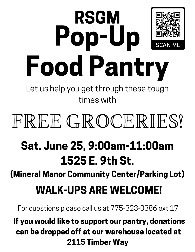# RSGM Pop-Up Food Pantry

Let us help you get through these tough times with

## FREE GROCERIES!

### Sat. June 25, 9:00am-11:00am 1525 E. 9th St.

(Mineral Manor Community Center/Parking Lot)

#### WALK-UPS ARE WELCOME!

For questions please call us at 775-323-0386 ext 17

#### If you would like to support our pantry, donations can be dropped off at our warehouse located at 2115 Timber Way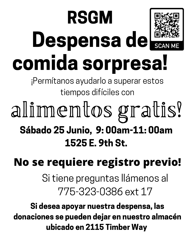# RSGM Despensa dels comida sorpresa!

¡Permítanos ayudarlo a superar estos tiempos difíciles con

Sábado 25 Junio, 9: 00am-11: 00am 1525 E. 9th St. alimentos gratis!

### **No se requiere registro previo!**

Si tiene preguntas llámenos al 775-323-0386 ext 17

Si desea apoyar nuestra despensa, las donaciones se pueden dejar en nuestro almacén ubicado en 2115 Timber Way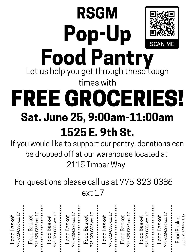### RSGM Pop-Up Food Pantry Sat. June 25, 9:00am-11:00am 1525 E. 9th St. Let us help you get through these tough times with FREE GROCERIES!

If you would like to support our pantry, donations can be dropped off at our warehouse located at 2115 Timber Way

For questions please call us at 775-323-0386 ext 17

| $\mathbb{R}^2$<br>ext.<br>Basl<br>৩<br>-038<br>ن<br>23<br>$\overline{O}$<br>775.<br>7<br>ப | ext.<br><b>Baske</b><br>323-0386<br>$\bullet$<br>poo<br>٠<br>775-<br>ப | ext.<br><b>Baske</b><br>-0386<br>.<br>ფე<br>ფ<br>bO<br>Ō<br>rb<br>775<br>ட | <b>Basket</b><br>ext.<br>323-0386<br>$\bullet$<br>$\bullet$<br>$\bullet$<br>Food I<br>$\bullet$<br>$\bullet$<br>$\bullet$<br>$\bullet$<br>Ļр<br>Г | <b>Baskel</b><br>ext.<br>ص<br>$-0386$<br>$\bullet$<br>$\overline{1}$<br>.323<br>ξĊ<br>ட | Basket<br>775-323-0386 ext.<br>$\bullet$<br>$\bullet$<br>$\bullet$<br>$\bullet$<br>$\bullet$<br>$\bullet$<br>$\bullet$<br>$\bullet$<br>ட் | ext.<br>Basker<br>$-0386$<br>1000<br>323<br>9<br>775.<br>7<br>ட் | <b>Basket</b><br>ext.<br>$\bullet$<br>-323-0386<br>$\bullet$<br>$\bullet$<br>$\overline{\mathrm{b}}$<br>$\bullet$<br>$\bullet$<br>Ŗ<br>ட | Basket<br>ext.<br>$-0386$<br>$\bullet$<br>75-323<br>poo<br>$\bullet$<br>П. | 1ex<br>ၯ<br>ගි<br>ට්<br>ᢗᠦ<br><u>ന</u><br>d<br>က<br>89<br>Ō<br>$\bullet$ |
|--------------------------------------------------------------------------------------------|------------------------------------------------------------------------|----------------------------------------------------------------------------|---------------------------------------------------------------------------------------------------------------------------------------------------|-----------------------------------------------------------------------------------------|-------------------------------------------------------------------------------------------------------------------------------------------|------------------------------------------------------------------|------------------------------------------------------------------------------------------------------------------------------------------|----------------------------------------------------------------------------|--------------------------------------------------------------------------|
|                                                                                            |                                                                        |                                                                            |                                                                                                                                                   |                                                                                         |                                                                                                                                           |                                                                  |                                                                                                                                          |                                                                            |                                                                          |